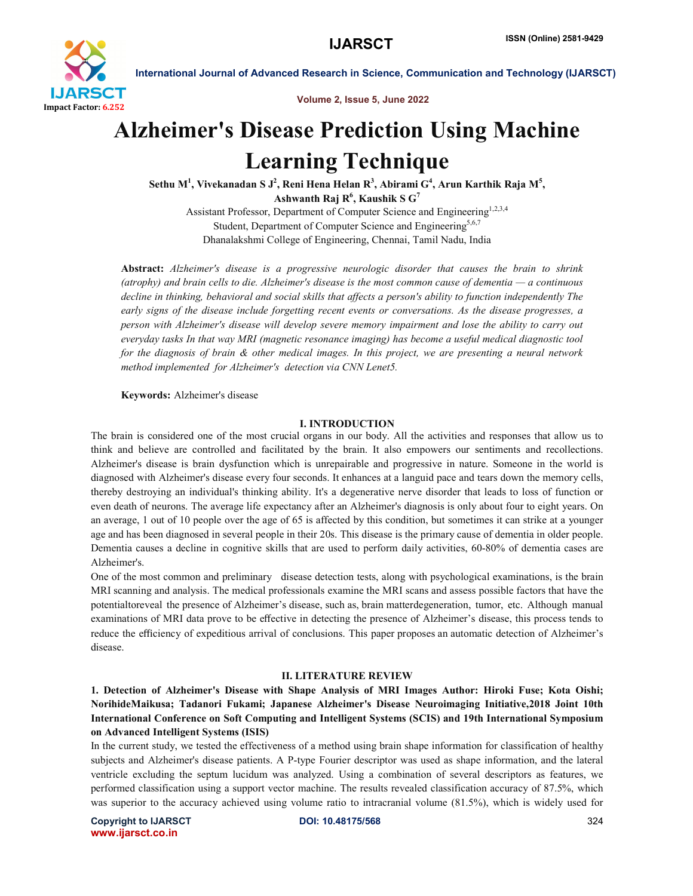

Volume 2, Issue 5, June 2022

# Alzheimer's Disease Prediction Using Machine Learning Technique

Sethu M $^1$ , Vivekanadan S J $^2$ , Reni Hena Helan R $^3$ , Abirami G $^4$ , Arun Karthik Raja M $^5$ , Ashwanth Raj  $\mathbf{R}^6$ , Kaushik S  $\mathbf{G}^7$ 

Assistant Professor, Department of Computer Science and Engineering<sup>1,2,3,4</sup> Student, Department of Computer Science and Engineering<sup>5,6,7</sup> Dhanalakshmi College of Engineering, Chennai, Tamil Nadu, India

Abstract: *Alzheimer's disease is a progressive neurologic disorder that causes the brain to shrink (atrophy) and brain cells to die. Alzheimer's disease is the most common cause of dementia — a continuous decline in thinking, behavioral and social skills that affects a person's ability to function independently The early signs of the disease include forgetting recent events or conversations. As the disease progresses, a person with Alzheimer's disease will develop severe memory impairment and lose the ability to carry out everyday tasks In that way MRI (magnetic resonance imaging) has become a useful medical diagnostic tool for the diagnosis of brain & other medical images. In this project, we are presenting a neural network method implemented for Alzheimer's detection via CNN Lenet5.*

Keywords: Alzheimer's disease

#### I. INTRODUCTION

The brain is considered one of the most crucial organs in our body. All the activities and responses that allow us to think and believe are controlled and facilitated by the brain. It also empowers our sentiments and recollections. Alzheimer's disease is brain dysfunction which is unrepairable and progressive in nature. Someone in the world is diagnosed with Alzheimer's disease every four seconds. It enhances at a languid pace and tears down the memory cells, thereby destroying an individual's thinking ability. It's a degenerative nerve disorder that leads to loss of function or even death of neurons. The average life expectancy after an Alzheimer's diagnosis is only about four to eight years. On an average, 1 out of 10 people over the age of 65 is affected by this condition, but sometimes it can strike at a younger age and has been diagnosed in several people in their 20s. This disease is the primary cause of dementia in older people. Dementia causes a decline in cognitive skills that are used to perform daily activities, 60-80% of dementia cases are Alzheimer's.

One of the most common and preliminary disease detection tests, along with psychological examinations, is the brain MRI scanning and analysis. The medical professionals examine the MRI scans and assess possible factors that have the potentialtoreveal the presence of Alzheimer's disease, such as, brain matterdegeneration, tumor, etc. Although manual examinations of MRI data prove to be effective in detecting the presence of Alzheimer's disease, this process tends to reduce the efficiency of expeditious arrival of conclusions. This paper proposes an automatic detection of Alzheimer's disease.

#### II. LITERATURE REVIEW

1. Detection of Alzheimer's Disease with Shape Analysis of MRI Images Author: Hiroki Fuse; Kota Oishi; NorihideMaikusa; Tadanori Fukami; Japanese Alzheimer's Disease Neuroimaging Initiative,2018 Joint 10th International Conference on Soft Computing and Intelligent Systems (SCIS) and 19th International Symposium on Advanced Intelligent Systems (ISIS)

In the current study, we tested the effectiveness of a method using brain shape information for classification of healthy subjects and Alzheimer's disease patients. A P-type Fourier descriptor was used as shape information, and the lateral ventricle excluding the septum lucidum was analyzed. Using a combination of several descriptors as features, we performed classification using a support vector machine. The results revealed classification accuracy of 87.5%, which was superior to the accuracy achieved using volume ratio to intracranial volume (81.5%), which is widely used for

Copyright to IJARSCT DOI: 10.48175/568 **324** www.ijarsct.co.in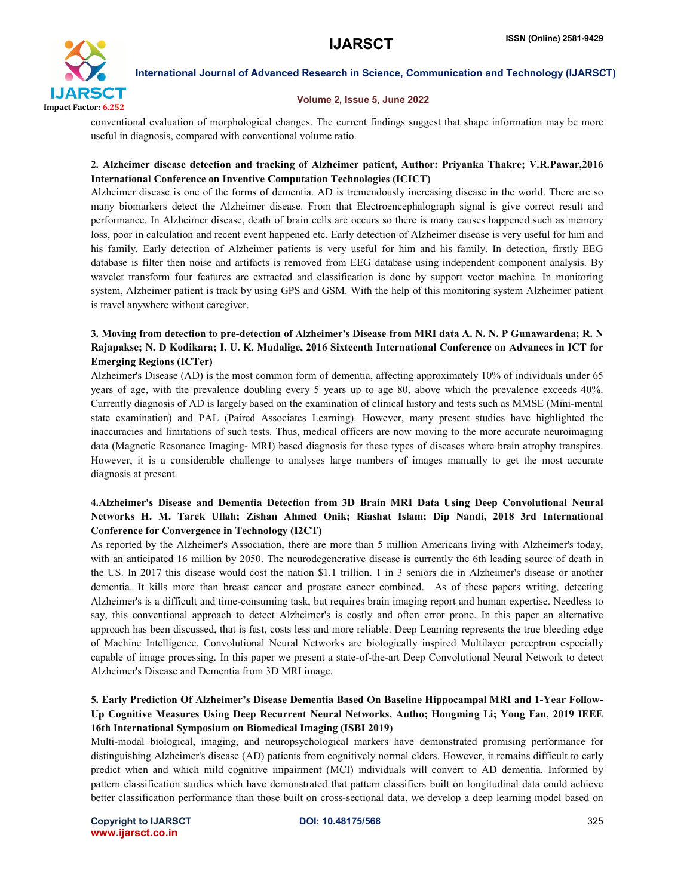

#### Volume 2, Issue 5, June 2022

conventional evaluation of morphological changes. The current findings suggest that shape information may be more useful in diagnosis, compared with conventional volume ratio.

#### 2. Alzheimer disease detection and tracking of Alzheimer patient, Author: Priyanka Thakre; V.R.Pawar,2016 International Conference on Inventive Computation Technologies (ICICT)

Alzheimer disease is one of the forms of dementia. AD is tremendously increasing disease in the world. There are so many biomarkers detect the Alzheimer disease. From that Electroencephalograph signal is give correct result and performance. In Alzheimer disease, death of brain cells are occurs so there is many causes happened such as memory loss, poor in calculation and recent event happened etc. Early detection of Alzheimer disease is very useful for him and his family. Early detection of Alzheimer patients is very useful for him and his family. In detection, firstly EEG database is filter then noise and artifacts is removed from EEG database using independent component analysis. By wavelet transform four features are extracted and classification is done by support vector machine. In monitoring system, Alzheimer patient is track by using GPS and GSM. With the help of this monitoring system Alzheimer patient is travel anywhere without caregiver.

### 3. Moving from detection to pre-detection of Alzheimer's Disease from MRI data A. N. N. P Gunawardena; R. N Rajapakse; N. D Kodikara; I. U. K. Mudalige, 2016 Sixteenth International Conference on Advances in ICT for Emerging Regions (ICTer)

Alzheimer's Disease (AD) is the most common form of dementia, affecting approximately 10% of individuals under 65 years of age, with the prevalence doubling every 5 years up to age 80, above which the prevalence exceeds 40%. Currently diagnosis of AD is largely based on the examination of clinical history and tests such as MMSE (Mini-mental state examination) and PAL (Paired Associates Learning). However, many present studies have highlighted the inaccuracies and limitations of such tests. Thus, medical officers are now moving to the more accurate neuroimaging data (Magnetic Resonance Imaging- MRI) based diagnosis for these types of diseases where brain atrophy transpires. However, it is a considerable challenge to analyses large numbers of images manually to get the most accurate diagnosis at present.

#### 4.Alzheimer's Disease and Dementia Detection from 3D Brain MRI Data Using Deep Convolutional Neural Networks H. M. Tarek Ullah; Zishan Ahmed Onik; Riashat Islam; Dip Nandi, 2018 3rd International Conference for Convergence in Technology (I2CT)

As reported by the Alzheimer's Association, there are more than 5 million Americans living with Alzheimer's today, with an anticipated 16 million by 2050. The neurodegenerative disease is currently the 6th leading source of death in the US. In 2017 this disease would cost the nation \$1.1 trillion. 1 in 3 seniors die in Alzheimer's disease or another dementia. It kills more than breast cancer and prostate cancer combined. As of these papers writing, detecting Alzheimer's is a difficult and time-consuming task, but requires brain imaging report and human expertise. Needless to say, this conventional approach to detect Alzheimer's is costly and often error prone. In this paper an alternative approach has been discussed, that is fast, costs less and more reliable. Deep Learning represents the true bleeding edge of Machine Intelligence. Convolutional Neural Networks are biologically inspired Multilayer perceptron especially capable of image processing. In this paper we present a state-of-the-art Deep Convolutional Neural Network to detect Alzheimer's Disease and Dementia from 3D MRI image.

#### 5. Early Prediction Of Alzheimer's Disease Dementia Based On Baseline Hippocampal MRI and 1-Year Follow-Up Cognitive Measures Using Deep Recurrent Neural Networks, Autho; Hongming Li; Yong Fan, 2019 IEEE 16th International Symposium on Biomedical Imaging (ISBI 2019)

Multi-modal biological, imaging, and neuropsychological markers have demonstrated promising performance for distinguishing Alzheimer's disease (AD) patients from cognitively normal elders. However, it remains difficult to early predict when and which mild cognitive impairment (MCI) individuals will convert to AD dementia. Informed by pattern classification studies which have demonstrated that pattern classifiers built on longitudinal data could achieve better classification performance than those built on cross-sectional data, we develop a deep learning model based on

Copyright to IJARSCT DOI: 10.48175/568 **325** www.ijarsct.co.in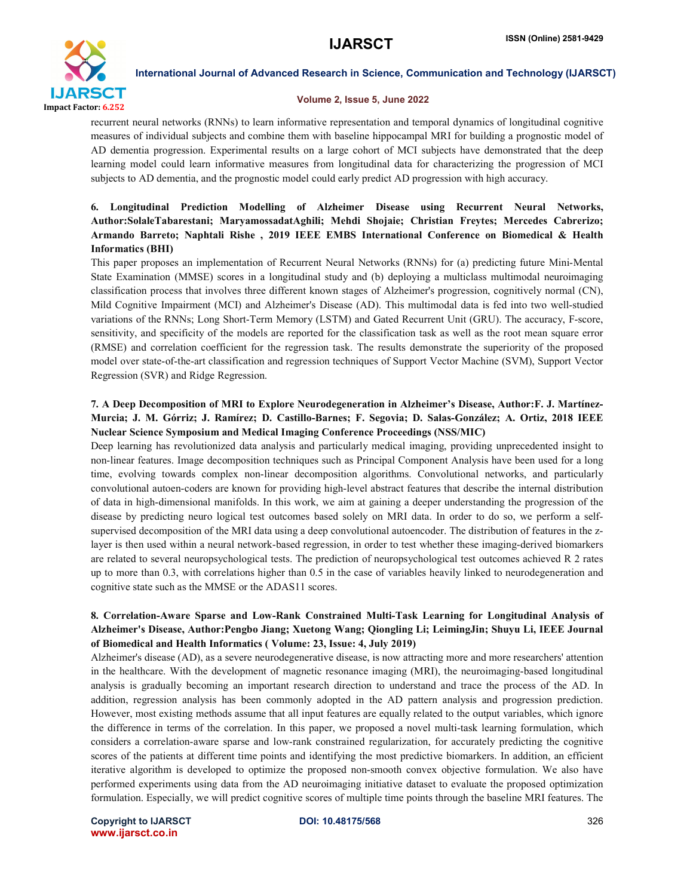

#### Volume 2, Issue 5, June 2022

recurrent neural networks (RNNs) to learn informative representation and temporal dynamics of longitudinal cognitive measures of individual subjects and combine them with baseline hippocampal MRI for building a prognostic model of AD dementia progression. Experimental results on a large cohort of MCI subjects have demonstrated that the deep learning model could learn informative measures from longitudinal data for characterizing the progression of MCI subjects to AD dementia, and the prognostic model could early predict AD progression with high accuracy.

### 6. Longitudinal Prediction Modelling of Alzheimer Disease using Recurrent Neural Networks, Author:SolaleTabarestani; MaryamossadatAghili; Mehdi Shojaie; Christian Freytes; Mercedes Cabrerizo; Armando Barreto; Naphtali Rishe , 2019 IEEE EMBS International Conference on Biomedical & Health Informatics (BHI)

This paper proposes an implementation of Recurrent Neural Networks (RNNs) for (a) predicting future Mini-Mental State Examination (MMSE) scores in a longitudinal study and (b) deploying a multiclass multimodal neuroimaging classification process that involves three different known stages of Alzheimer's progression, cognitively normal (CN), Mild Cognitive Impairment (MCI) and Alzheimer's Disease (AD). This multimodal data is fed into two well-studied variations of the RNNs; Long Short-Term Memory (LSTM) and Gated Recurrent Unit (GRU). The accuracy, F-score, sensitivity, and specificity of the models are reported for the classification task as well as the root mean square error (RMSE) and correlation coefficient for the regression task. The results demonstrate the superiority of the proposed model over state-of-the-art classification and regression techniques of Support Vector Machine (SVM), Support Vector Regression (SVR) and Ridge Regression.

#### 7. A Deep Decomposition of MRI to Explore Neurodegeneration in Alzheimer's Disease, Author:F. J. Martínez-Murcia; J. M. Górriz; J. Ramírez; D. Castillo-Barnes; F. Segovia; D. Salas-González; A. Ortiz, 2018 IEEE Nuclear Science Symposium and Medical Imaging Conference Proceedings (NSS/MIC)

Deep learning has revolutionized data analysis and particularly medical imaging, providing unprecedented insight to non-linear features. Image decomposition techniques such as Principal Component Analysis have been used for a long time, evolving towards complex non-linear decomposition algorithms. Convolutional networks, and particularly convolutional autoen-coders are known for providing high-level abstract features that describe the internal distribution of data in high-dimensional manifolds. In this work, we aim at gaining a deeper understanding the progression of the disease by predicting neuro logical test outcomes based solely on MRI data. In order to do so, we perform a selfsupervised decomposition of the MRI data using a deep convolutional autoencoder. The distribution of features in the zlayer is then used within a neural network-based regression, in order to test whether these imaging-derived biomarkers are related to several neuropsychological tests. The prediction of neuropsychological test outcomes achieved R 2 rates up to more than 0.3, with correlations higher than 0.5 in the case of variables heavily linked to neurodegeneration and cognitive state such as the MMSE or the ADAS11 scores.

#### 8. Correlation-Aware Sparse and Low-Rank Constrained Multi-Task Learning for Longitudinal Analysis of Alzheimer's Disease, Author:Pengbo Jiang; Xuetong Wang; Qiongling Li; LeimingJin; Shuyu Li, IEEE Journal of Biomedical and Health Informatics ( Volume: 23, Issue: 4, July 2019)

Alzheimer's disease (AD), as a severe neurodegenerative disease, is now attracting more and more researchers' attention in the healthcare. With the development of magnetic resonance imaging (MRI), the neuroimaging-based longitudinal analysis is gradually becoming an important research direction to understand and trace the process of the AD. In addition, regression analysis has been commonly adopted in the AD pattern analysis and progression prediction. However, most existing methods assume that all input features are equally related to the output variables, which ignore the difference in terms of the correlation. In this paper, we proposed a novel multi-task learning formulation, which considers a correlation-aware sparse and low-rank constrained regularization, for accurately predicting the cognitive scores of the patients at different time points and identifying the most predictive biomarkers. In addition, an efficient iterative algorithm is developed to optimize the proposed non-smooth convex objective formulation. We also have performed experiments using data from the AD neuroimaging initiative dataset to evaluate the proposed optimization formulation. Especially, we will predict cognitive scores of multiple time points through the baseline MRI features. The

Copyright to IJARSCT DOI: 10.48175/568 **326** www.ijarsct.co.in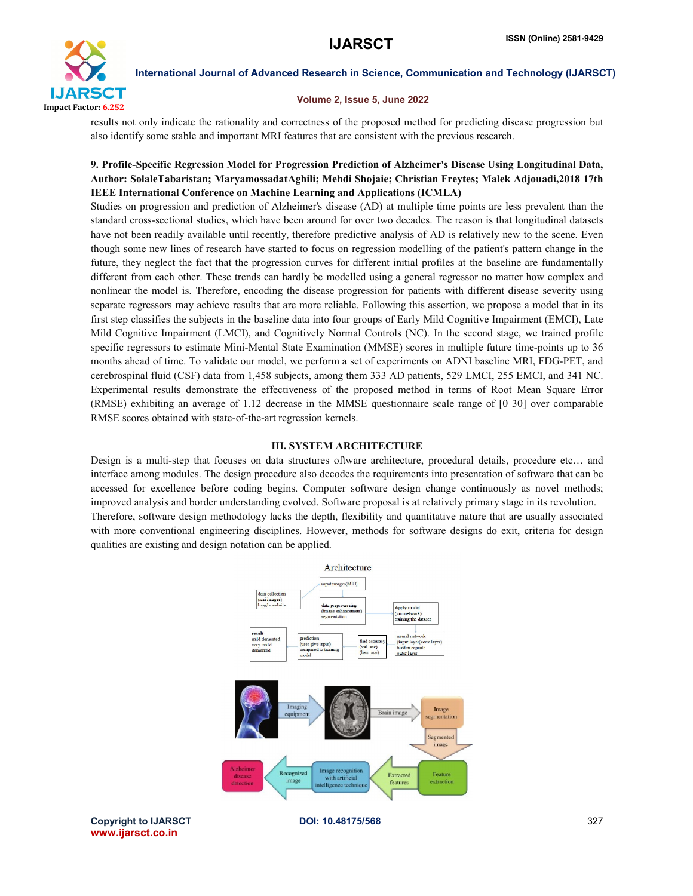

#### Volume 2, Issue 5, June 2022

results not only indicate the rationality and correctness of the proposed method for predicting disease progression but also identify some stable and important MRI features that are consistent with the previous research.

#### 9. Profile-Specific Regression Model for Progression Prediction of Alzheimer's Disease Using Longitudinal Data, Specific for Data, 9. Profile-Specific Regression Model for Progression Prediction of Alzheimer's Disease Using Longitudinal Data,<br>Author: SolaleTabaristan; MaryamossadatAghili; Mehdi Shojaie; Christian Freytes; Malek Adjouadi,2018 17th IEEE International Conference on Machine Learning and Applications (ICMLA)

Studies on progression and prediction of Alzheimer's disease (AD) at multiple time points are less prevalent than the standard cross-sectional studies, which have been around for over two decades. The reason is that longit standard cross-sectional studies, which have been around for over two decades. The reason is that longitudinal datasets have not been readily available until recently, therefore predictive analysis of AD is relatively new to the scene. Even have not been readily available until recently, therefore predictive analysis of AD is relatively new to the scene. Even<br>though some new lines of research have started to focus on regression modelling of the patient's patt future, they neglect the fact that the progression curves for different initial profiles at the baseline are fundamentally different from each other. These trends can hardly be modelled using a general regressor no matter how complex and different from each other. These trends can hardly be modelled using a general regressor no matter how complex and<br>nonlinear the model is. Therefore, encoding the disease progression for patients with different disease sev separate regressors may achieve results that are more reliable. Following this assertion, we propose a model that in its first step classifies the subjects in the baseline data into four groups of Early Mild Cognitive Impairment (EMCI), Late Mild Cognitive Impairment (LMCI), and Cognitively Normal Controls (NC). In the second stage, we trained profile specific regressors to estimate Mini-Mental State Examination (MMSE) scores in multiple future time months ahead of time. To validate our model, we perform a set of experiments on ADNI baseline MRI, FDG-PET, and cerebrospinal fluid (CSF) data from 1,458 subjects, among them 333 AD patients, 529 LMCI, 255 EMCI, and 341 NC. Experimental results demonstrate the effectiveness of the proposed method in terms of Root Mean Square Error (RMSE) exhibiting an average of 1.12 decrease in the MMSE questionnaire scale range of [0 30] RMSE scores obtained with state-of-the-art regression kernels. ate regressors may achieve results that are more reliable. Following this assertion, we propose a model that in its<br>tep classifies the subjects in the baseline data into four groups of Early Mild Cognitive Impairment (EMCI expectiveness of the proposed method in terms of Root Mean Square Error decrease in the MMSE questionnaire scale range of [0 30] over comparable art regression kernels.<br>III. SYSTEM ARCHITECTURE data structures oftware arch time-points up to 36  $1.12$  decrease in the MMSE questionnaire scale range of  $[0, 30]$  over comparable

#### III. SYSTEM ARCHITECTURE

Design is a multi-step that focuses on data structures oftware architecture, procedural details, procedure etc... and interface among modules. The design procedure also decodes the requirements into presentation of software that can be accessed for excellence before coding begins. Computer software design change continuously as novel methods; improved analysis and border understanding evolved. Software proposal is at relatively primary stage in its revolution. Therefore, software design methodology lacks the depth, flexibility and quantitative nature that are usually associated with more conventional engineering disciplines. However, methods for software designs do exit, criteria for design qualities are existing and design notation can be applied.



Copyright to IJARSCT www.ijarsct.co.in

DOI: 10.48175/568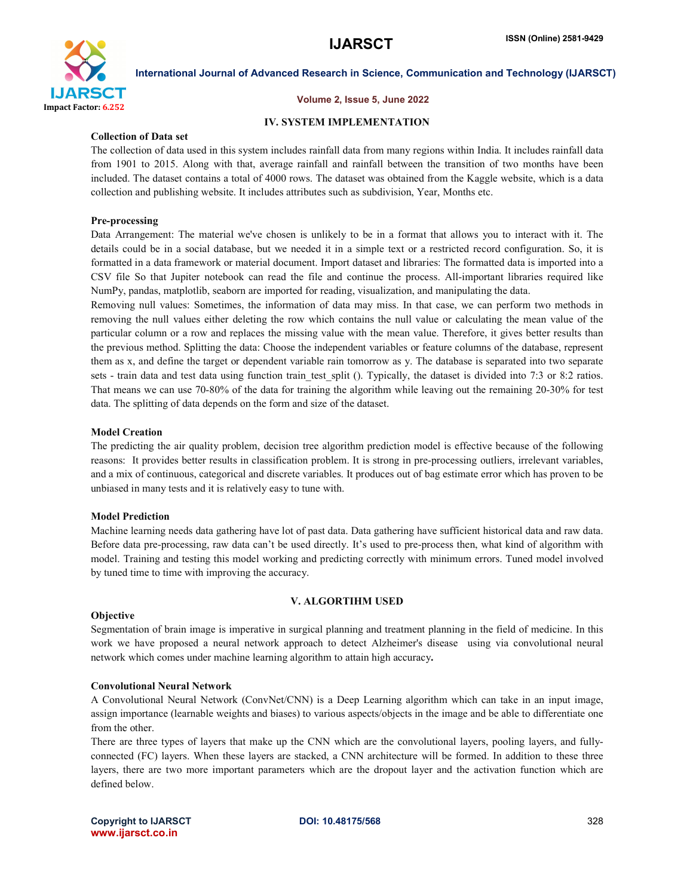

#### Volume 2, Issue 5, June 2022

#### IV. SYSTEM IMPLEMENTATION

#### Collection of Data set

The collection of data used in this system includes rainfall data from many regions within India. It includes rainfall data from 1901 to 2015. Along with that, average rainfall and rainfall between the transition of two months have been included. The dataset contains a total of 4000 rows. The dataset was obtained from the Kaggle website, which is a data collection and publishing website. It includes attributes such as subdivision, Year, Months etc.

#### Pre-processing

Data Arrangement: The material we've chosen is unlikely to be in a format that allows you to interact with it. The details could be in a social database, but we needed it in a simple text or a restricted record configuration. So, it is formatted in a data framework or material document. Import dataset and libraries: The formatted data is imported into a CSV file So that Jupiter notebook can read the file and continue the process. All-important libraries required like NumPy, pandas, matplotlib, seaborn are imported for reading, visualization, and manipulating the data.

Removing null values: Sometimes, the information of data may miss. In that case, we can perform two methods in removing the null values either deleting the row which contains the null value or calculating the mean value of the particular column or a row and replaces the missing value with the mean value. Therefore, it gives better results than the previous method. Splitting the data: Choose the independent variables or feature columns of the database, represent them as x, and define the target or dependent variable rain tomorrow as y. The database is separated into two separate sets - train data and test data using function train test split (). Typically, the dataset is divided into 7:3 or 8:2 ratios. That means we can use 70-80% of the data for training the algorithm while leaving out the remaining 20-30% for test data. The splitting of data depends on the form and size of the dataset.

#### Model Creation

The predicting the air quality problem, decision tree algorithm prediction model is effective because of the following reasons: It provides better results in classification problem. It is strong in pre-processing outliers, irrelevant variables, and a mix of continuous, categorical and discrete variables. It produces out of bag estimate error which has proven to be unbiased in many tests and it is relatively easy to tune with.

#### Model Prediction

Machine learning needs data gathering have lot of past data. Data gathering have sufficient historical data and raw data. Before data pre-processing, raw data can't be used directly. It's used to pre-process then, what kind of algorithm with model. Training and testing this model working and predicting correctly with minimum errors. Tuned model involved by tuned time to time with improving the accuracy.

#### **Objective**

#### V. ALGORTIHM USED

Segmentation of brain image is imperative in surgical planning and treatment planning in the field of medicine. In this work we have proposed a neural network approach to detect Alzheimer's disease using via convolutional neural network which comes under machine learning algorithm to attain high accuracy.

#### Convolutional Neural Network

A Convolutional Neural Network (ConvNet/CNN) is a Deep Learning algorithm which can take in an input image, assign importance (learnable weights and biases) to various aspects/objects in the image and be able to differentiate one from the other.

There are three types of layers that make up the CNN which are the convolutional layers, pooling layers, and fullyconnected (FC) layers. When these layers are stacked, a CNN architecture will be formed. In addition to these three layers, there are two more important parameters which are the dropout layer and the activation function which are defined below.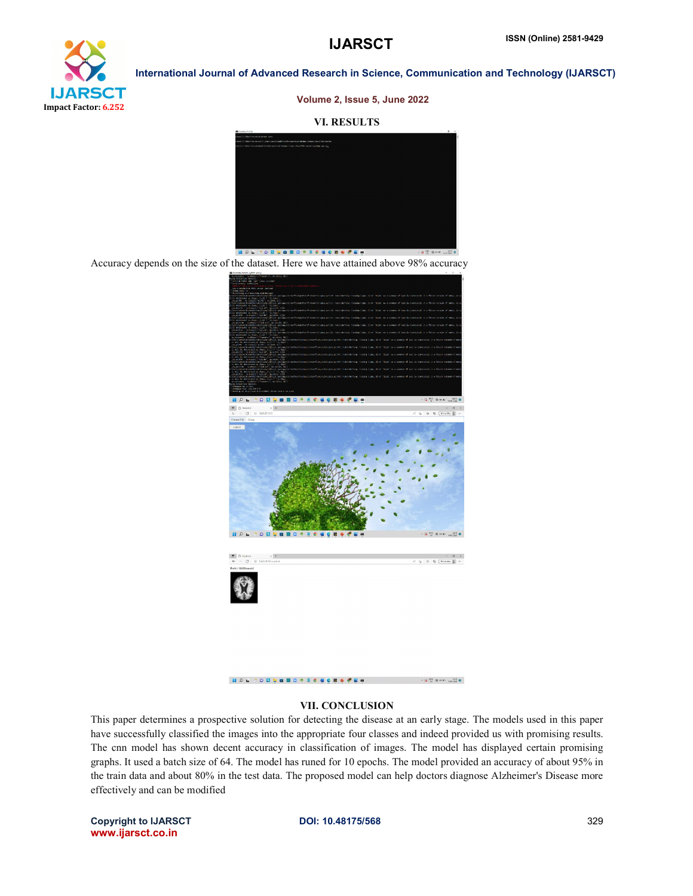## **IJARSCT**



International Journal of Advanced Research in Science, Communication and Technology (IJARSCT)

Volume 2, Issue 5, June 2022

#### VI. RESULTS



Accuracy depends on the size of the dataset. Here we have attained above Accuracy depends on the size of the dataset. Here we have attained above 98% accuracy



#### **NOL TO BUNGO + EC 4 0 B + C E +**  $\mathbf{0} \xrightarrow{\mathrm{DM}} \mathbf{0} \otimes \mathbf{0} \xrightarrow[\mathrm{M}]{\mathrm{DM}} \mathbf{0} \times \mathbf{0}$

#### VII. CONCLUSION

This paper determines a prospective solution for detecting the disease at an early stage. The models used in this paper have successfully classified the images into the appropriate four classes and indeed provided us with promising results. The cnn model has shown decent accuracy in classification of images. The model has displayed certain promising graphs. It used a batch size of 64. The model has runed for 10 epochs. The model provided an accuracy of about 95% in the train data and about 80% in the test data. The proposed model can help doctors diagnose Alzheimer's Disease more effectively and can be modified have successfully classified the images into the appropriate four classes and indeed provided us with promising results.<br>The cnn model has shown decent accuracy in classification of images. The model has displayed certain bective solution for detecting the disease at an early stage. The images into the appropriate four classes and indeed provide<br>ceent accuracy in classification of images. The model has<br>64. The model has runed for 10 epochs.

Copyright to IJARSCT www.ijarsct.co.in